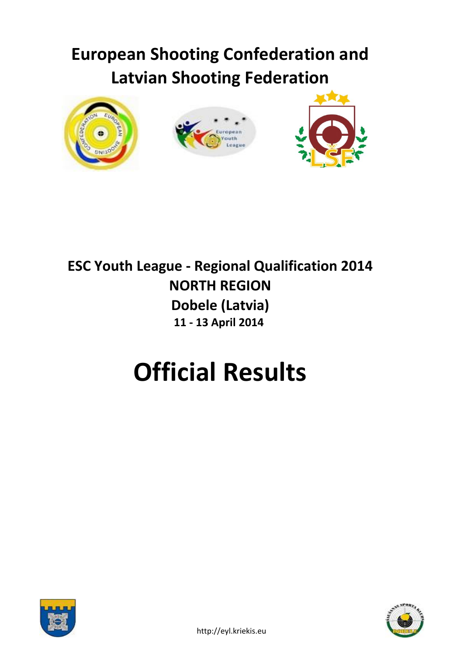# **European Shooting Confederation and Latvian Shooting Federation**



## **ESC Youth League - Regional Qualification 2014 NORTH REGION Dobele (Latvia) 11 - 13 April 2014**

# **Official Results**



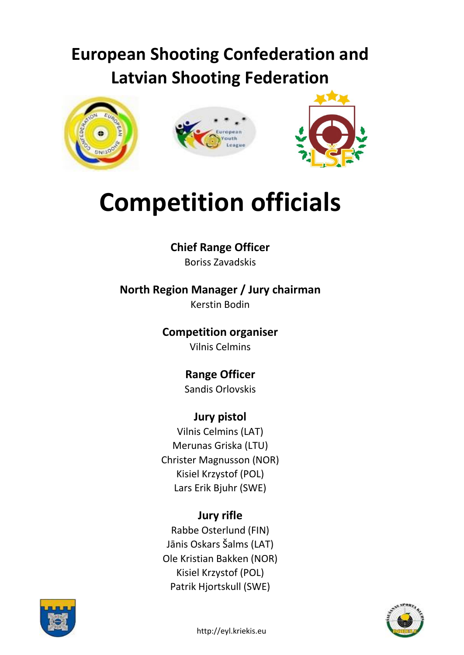## **European Shooting Confederation and Latvian Shooting Federation**







# **Competition officials**

**Chief Range Officer** Boriss Zavadskis

**North Region Manager / Jury chairman** Kerstin Bodin

> **Competition organiser** Vilnis Celmins

> > **Range Officer** Sandis Orlovskis

### **Jury pistol**

Vilnis Celmins (LAT) Merunas Griska (LTU) Christer Magnusson (NOR) Kisiel Krzystof (POL) Lars Erik Bjuhr (SWE)

### **Jury rifle**

Rabbe Osterlund (FIN) Jānis Oskars Šalms (LAT) Ole Kristian Bakken (NOR) Kisiel Krzystof (POL) Patrik Hjortskull (SWE)



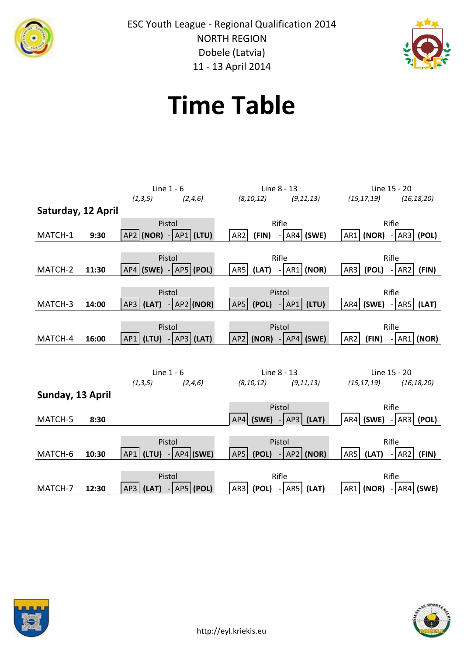



# **Time Table**





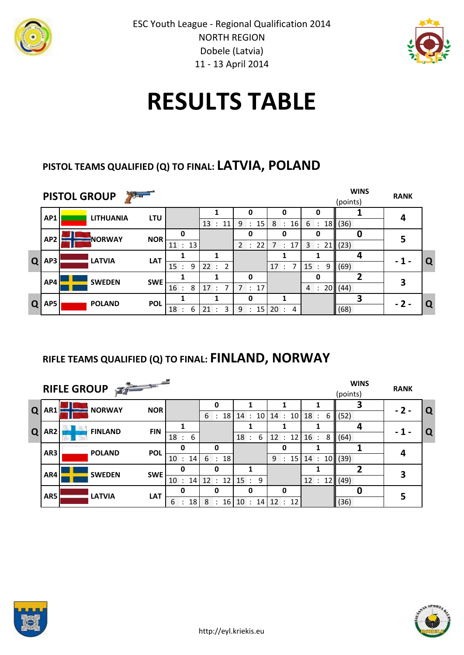



# **RESULTS TABLE**

### **PISTOL TEAMS QUALIFIED (Q) TO FINAL: LATVIA, POLAND**

|    |                 | $\sum_{i=1}^{n}$<br><b>PISTOL GROUP</b> |            |                           |                           |                                           |                     |                                 | <b>WINS</b><br>(points) | <b>RANK</b> |   |
|----|-----------------|-----------------------------------------|------------|---------------------------|---------------------------|-------------------------------------------|---------------------|---------------------------------|-------------------------|-------------|---|
|    | AP1             | <b>LITHUANIA</b>                        | <b>LTU</b> |                           | 13:<br>11                 | 0<br>15 <sub>l</sub><br>9<br>$\mathbf{r}$ | O<br>8:16           | 6:                              | 18(36)                  | 4           |   |
|    | AP <sub>2</sub> | <b>NORWAY</b>                           | <b>NOR</b> | 0                         |                           | 0                                         | O                   | n                               | 0                       | 5           |   |
|    |                 |                                         |            | 11 : 13                   |                           | 2 : 22                                    | : 17<br>$7^{\circ}$ | 3 : 21                          | (23)                    |             |   |
| Q  | AP3             | <b>LATVIA</b>                           | <b>LAT</b> | $\bullet$                 |                           |                                           | $\overline{7}$      |                                 | 4                       | - 1 -       | Q |
|    |                 |                                         |            | 9<br>15                   | 22:<br>2                  | 0                                         | 17:                 | 15<br>9<br>$\ddot{\phantom{a}}$ | (69)                    |             |   |
|    | AP4             | <b>SWEDEN</b>                           | <b>SWE</b> | 16<br>8                   | 17:<br>7                  | 7 : 17                                    |                     | 4: 20   (44)                    |                         | 3           |   |
| Q. | AP5             | <b>POLAND</b>                           | <b>POL</b> |                           |                           | 0                                         |                     |                                 |                         | $-2-$       | Q |
|    |                 |                                         |            | 18<br>6<br>$\blacksquare$ | 21<br>з<br>$\mathbb{R}^2$ | 15<br>9<br>$\sim$                         | 20:<br>4            |                                 | (68)                    |             |   |

### **RIFLE TEAMS QUALIFIED (Q) TO FINAL: FINLAND, NORWAY**

|   |                 | RIFLE GROUP    |            |                           |                  |          |                                  |                                                      | <b>WINS</b><br>(points) | <b>RANK</b> |   |
|---|-----------------|----------------|------------|---------------------------|------------------|----------|----------------------------------|------------------------------------------------------|-------------------------|-------------|---|
| Q | AR1             | <b>NORWAY</b>  | <b>NOR</b> |                           | O                |          |                                  |                                                      |                         | $-2-$       | Q |
|   |                 |                |            |                           |                  |          |                                  | $6: 18 \mid 14: 10 \mid 14: 10 \mid 18: 6 \mid (52)$ |                         |             |   |
| Q | AR <sub>2</sub> | <b>FINLAND</b> | <b>FIN</b> |                           |                  |          |                                  |                                                      | 4                       | - 1 -       |   |
|   |                 |                |            | 18<br>6<br>$\mathcal{L}$  |                  | 18:<br>6 | 12 : 12                          | 16 : 8   (64)                                        |                         |             | Q |
|   |                 |                |            | O                         | $\mathbf{0}$     |          | O                                |                                                      |                         |             |   |
|   | AR <sub>3</sub> | <b>POLAND</b>  | <b>POL</b> | 10:<br>14                 | 6 : 18           |          | 9 : 15                           | 14 : 10   (39)                                       |                         | 4           |   |
|   |                 |                |            | O                         | 0                |          |                                  |                                                      |                         | 3           |   |
|   | AR4             | <b>SWEDEN</b>  | <b>SWE</b> | 10<br>14<br>$\mathcal{L}$ | 12 : 12   15 : 9 |          |                                  | 12 : 12   (49)                                       |                         |             |   |
|   | AR5             | <b>LATVIA</b>  | <b>LAT</b> |                           | O                | 0        | O                                |                                                      |                         | 5           |   |
|   |                 |                |            | : 18<br>6                 | 8                |          | $: 16 \mid 10 : 14 \mid 12 : 12$ |                                                      | (36)                    |             |   |



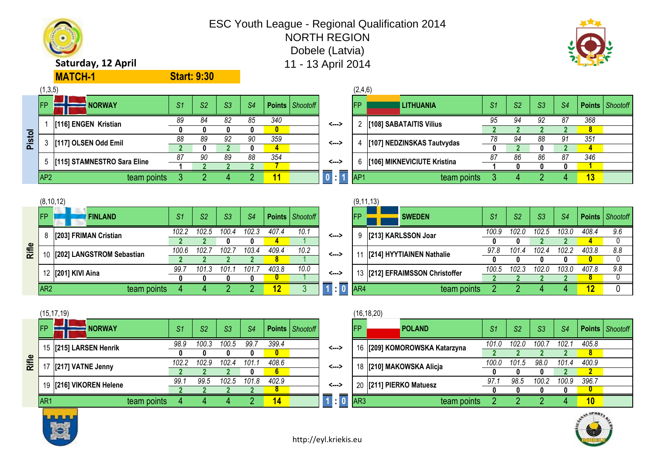### ESC Youth League - Regional Qualification 2014

NORTH REGION

Dobele (Latvia)



### **Saturday, 12 April 11 - 13 April 2014**

**MATCH-1**

|        | (1,3,5)         |                             |     |                |                |                |     |                          |       | (2,4,6)         |                             |                |                |    |     |                   |  |
|--------|-----------------|-----------------------------|-----|----------------|----------------|----------------|-----|--------------------------|-------|-----------------|-----------------------------|----------------|----------------|----|-----|-------------------|--|
|        | <b>IFP</b>      | <b>NORWAY</b>               | -S1 | S <sub>2</sub> | S <sub>3</sub> | S <sub>4</sub> |     | <b>Points</b>   Shootoff |       | <b>IFP</b>      | <b>LITHUANIA</b>            | S <sub>1</sub> | S <sub>2</sub> | S3 | S4  | Points   Shootofi |  |
|        |                 | [116] ENGEN Kristian        | 89  | 84             | 82             | 85             | 340 |                          | <---> |                 | [108] SABATAITIS Vilius     | 95             | 94             | 92 | 87  | 368               |  |
|        |                 |                             |     |                |                |                |     |                          |       |                 |                             |                |                |    |     | 8                 |  |
| Pistol |                 | [117] OLSEN Odd Emil        | 88  | 89             | 92             | 90             | 359 |                          | <---> |                 | [107] NEDZINSKAS Tautvydas  | 78             | 94             | 88 | -91 | 351               |  |
|        |                 |                             |     |                |                |                | 4   |                          |       |                 |                             | $\mathbf{u}$   |                |    |     | 4                 |  |
|        |                 | [115] STAMNESTRO Sara Eline | 87  | 90             | 89             | 88             | 354 |                          | <---> |                 | [106] MIKNEVICIUTE Kristina | 87             | 86             | 86 | 87  | 346               |  |
|        |                 |                             |     |                |                |                |     |                          |       |                 |                             |                |                |    |     |                   |  |
|        | AP <sub>2</sub> | team points                 |     |                |                |                | 11  |                          | 0.11  | AP <sub>1</sub> | team points                 |                |                |    |     | 13                |  |
|        |                 |                             |     |                |                |                |     |                          |       |                 |                             |                |                |    |     |                   |  |

|       |                 | (8, 10, 12)               |       |                |      |                |       |                        |       | (9, 11, 13) |                                 |       |       |       |       |               |     |
|-------|-----------------|---------------------------|-------|----------------|------|----------------|-------|------------------------|-------|-------------|---------------------------------|-------|-------|-------|-------|---------------|-----|
|       | <b>IFP</b>      | <b>FINLAND</b>            | S1    | S <sub>2</sub> | S3   | S <sub>4</sub> |       | <b>Points</b> Shootoff |       | <b>FP</b>   | <b>SWEDEN</b>                   | S1    | S2    | S3    | S4    | Points   Shoc |     |
|       |                 | [203] FRIMAN Cristian     | 102.2 | 102.5          | 100  | 102.ა          | 407.4 | 10.1                   | <---> |             | [213] KARLSSON Joar             | 100.9 | 102.0 | 102.5 | 103.0 | 408.4         | 9.0 |
|       |                 |                           |       |                |      |                |       |                        |       |             |                                 |       |       |       |       |               |     |
| Rifle |                 | [202] LANGSTROM Sebastian | 100.6 | 102.           | 102. | 103.4          | 409.4 | 10.2                   | <>    |             | [214] HYYTIAINEN Nathalie       | 97.8  | 101.4 | 102.4 | 102.2 | 403.8         | 8.5 |
|       |                 |                           |       |                |      |                |       |                        |       |             |                                 |       |       |       |       |               |     |
|       |                 | 12 [201] KIVI Aina        | 99.7  | 101.ა          | 101  | 101.           | 403.8 | 10.0                   | <>    |             | 13 [212] EFRAIMSSON Christoffer | 100.5 | 102.3 | 102.0 | 103.0 | 407.8         | 9.6 |
|       |                 |                           |       |                |      |                |       |                        |       |             |                                 |       |       |       |       |               |     |
|       | AR <sub>2</sub> | team points               |       |                |      |                |       |                        |       | AR4         | team points                     |       |       |       |       |               |     |

**Start: 9:30**

|     | (8, 10, 12)                  |       |                |       |       |       |                   |       |            | (9, 11, 13)                  |                |                |                |                |       |                        |
|-----|------------------------------|-------|----------------|-------|-------|-------|-------------------|-------|------------|------------------------------|----------------|----------------|----------------|----------------|-------|------------------------|
| FP. | <b>FINLAND</b>               | S1    | S <sub>2</sub> | S3    | -S4   |       | Points   Shootoff |       | <b>IFP</b> | <b>SWEDEN</b>                | S <sub>1</sub> | S <sub>2</sub> | S <sub>3</sub> | S <sub>4</sub> |       | <b>Points</b> Shootoff |
|     | 8 [203] FRIMAN Cristian      | 102.2 | 102.5          | 100.4 | 102.3 | 407.4 | 10.1              | <---> |            | [213] KARLSSON Joar          | 100.9          | 102.0          | 102.5          | 103.0          | 408.4 | 9.6                    |
|     |                              |       |                |       | 0.    |       |                   |       |            |                              |                |                |                |                |       |                        |
|     | 10 [202] LANGSTROM Sebastian | 100.6 | 102.7          | 102.7 | 103.4 | 409.4 | 10.2              | <---> |            | [214] HYYTIAINEN Nathalie    | 97.8           | 101.4          | 102.4          | 102.2          | 403.8 | 8.8                    |
|     |                              |       |                |       |       | 8.    |                   |       |            |                              |                |                |                |                |       |                        |
|     | 12 [201] KIVI Aina           | 99.7  | 101.3          | 101.  | 101.  | 403.8 | 10.0              | <---> | 13         | [212] EFRAIMSSON Christoffer | 100.5          | 102.3          | 102.0          | 103.0          | 407.8 | 9.8                    |
|     |                              |       |                |       |       | 0.    |                   |       |            |                              |                |                |                |                |       |                        |
| AR2 | team points                  |       |                |       |       | 12    |                   | ═     | AR4        | team points                  |                |                |                |                |       |                        |

|       |                 | (15, 17, 19)            |             |                |                |       |                |                |                   |                       |                 | (16, 18, 20)                  |                |       |       |       |                   |  |
|-------|-----------------|-------------------------|-------------|----------------|----------------|-------|----------------|----------------|-------------------|-----------------------|-----------------|-------------------------------|----------------|-------|-------|-------|-------------------|--|
|       | <b>IFP</b>      | <b>NORWAY</b>           |             | S <sub>1</sub> | S <sub>2</sub> | S3    | S <sub>4</sub> |                | Points   Shootoff |                       | <b>IFP</b>      | <b>POLAND</b>                 | S <sub>1</sub> | S2    | S3    | S4    | Points   Shootofi |  |
|       |                 | 15 [215] LARSEN Henrik  |             | 98.9           | 100.3          | 100.5 | 99.1           | 399.4          |                   | <>                    |                 | 16 [209] KOMOROWSKA Katarzyna | 101.0          | 102.0 | 100.7 | 102.1 | 405.8             |  |
|       |                 |                         |             |                |                |       |                | $\mathbf{0}$   |                   |                       |                 |                               |                |       |       |       | 8                 |  |
| Rifle |                 | [217] VATNE Jenny       |             | 102.2          | 102.9          | 102.4 | 101.1          | 408.6          |                   | <--->                 |                 | 18 [210] MAKOWSKA Alicja      | 100.0          | 101.5 | 98.0  | 101.4 | 400.9             |  |
|       |                 |                         |             |                |                |       |                | 6 <sup>1</sup> |                   |                       |                 |                               |                |       |       |       |                   |  |
|       |                 | 19 [216] VIKOREN Helene |             | 99.            | 99.5           | 102.5 | 101.8          | 402.9          |                   | <--->                 |                 | 20 [211] PIERKO Matuesz       | 97.            | 98.5  | 100.2 | 100.9 | 396.7             |  |
|       |                 |                         |             |                |                |       |                | 8              |                   |                       |                 |                               |                |       |       |       |                   |  |
|       | AR <sub>1</sub> |                         | team points |                |                |       |                | 14             |                   | ═<br>$\blacksquare$ 0 | AR <sub>3</sub> | team points                   |                |       |       |       | 10                |  |

|       |                |       |                |       |                   |                |                 | (16, 18, 20) |                               |                |       |                |                |              |                        |
|-------|----------------|-------|----------------|-------|-------------------|----------------|-----------------|--------------|-------------------------------|----------------|-------|----------------|----------------|--------------|------------------------|
| S1    | S <sub>2</sub> | S3    | S <sub>4</sub> |       | Points   Shootoff |                | IFP             |              | <b>POLAND</b>                 | S <sub>1</sub> | S2    | S <sub>3</sub> | S <sub>4</sub> |              | <b>Points</b> Shootoff |
| 98.9  | 100.3          | 100.5 | 99.7           | 399.4 |                   | <--->          |                 |              | 16 [209] KOMOROWSKA Katarzyna | 101.0          | 102.0 | 100.7          | 102.1          | 405.8        |                        |
|       |                |       |                | 0     |                   |                |                 |              |                               |                |       |                |                | 8.           |                        |
| 102.2 | 102.9          | 102.4 | 101.1          | 408.6 |                   | <>             |                 |              | 18 [210] MAKOWSKA Alicja      | 100.0          | 101.5 | 98.0           | 101.4          | 400.9        |                        |
|       |                |       |                | 6     |                   |                |                 |              |                               |                |       |                |                | $\mathbf{2}$ |                        |
| 99.1  | 99.5           | 102.5 | 101.8          | 402.9 |                   | <--->          |                 |              | 20 [211] PIERKO Matuesz       | 97.1           | 98.5  | 100.2          | 100.9          | 396.7        |                        |
|       |                |       |                | 8.    |                   |                |                 |              |                               |                |       |                | 0              | $\bf{0}$     |                        |
|       |                |       |                | 14    |                   | <b>R</b><br>٠. | AR <sub>3</sub> |              | team points                   |                |       |                |                | 10           |                        |



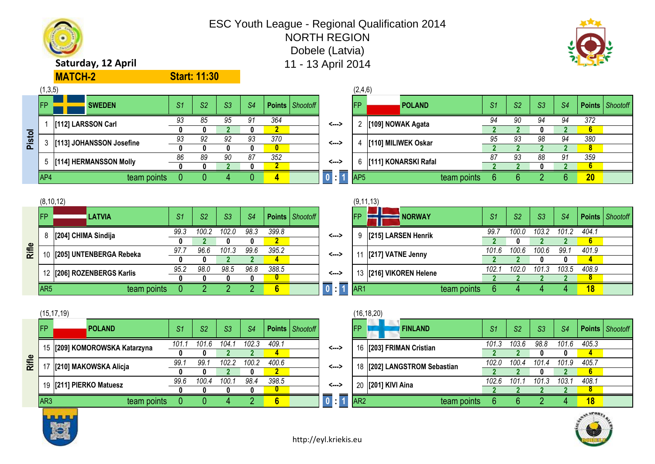

**Rifle**

**Pistol**



| FP. |                             | <b>POLAND</b>                 | S1    | S <sub>2</sub> | S3    | S <sub>4</sub> |       | <b>Points</b>   Shootoff |                                 | <b>IED</b>      | <b>FINLAND</b>               | S <sub>1</sub> | S <sub>2</sub> | S <sub>3</sub> | S <sub>4</sub> | <b>Points</b> Shootoff |  |
|-----|-----------------------------|-------------------------------|-------|----------------|-------|----------------|-------|--------------------------|---------------------------------|-----------------|------------------------------|----------------|----------------|----------------|----------------|------------------------|--|
|     |                             | 15 [209] KOMOROWSKA Katarzyna | 101.1 | 101.6          | 104.1 | 102.3          | 409.1 |                          | <--->                           |                 | 16 [203] FRIMAN Cristian     | 101.3          | 103.6          | 98.8           | 101.6          | 405.3                  |  |
|     |                             |                               |       |                |       |                | 4     |                          |                                 |                 |                              |                |                |                |                | 4                      |  |
|     |                             | 17 [210] MAKOWSKA Alicja      | 99.7  | 99.            | 102.2 | 100.2          | 400.6 |                          | <>                              |                 | 18 [202] LANGSTROM Sebastian | 102.0          | 100.4          | 101.4          | 101.9          | 405.7                  |  |
|     |                             |                               |       |                |       |                |       |                          |                                 |                 |                              |                |                |                |                | 6 <sup>1</sup>         |  |
|     |                             | 19 [211] PIERKO Matuesz       | 99.6  | 100.4          | 100.1 | 98.4           | 398.5 |                          | <>                              |                 | 20 [201] KIVI Aina           | 102.6          | 101.           | 101.3          | 103.1          | 408.1                  |  |
|     |                             |                               |       |                |       |                |       |                          |                                 |                 |                              |                |                |                |                | 8.                     |  |
| AR3 |                             | team points                   |       |                |       |                | 6     |                          | $\overline{0}$ : $\overline{1}$ | AR <sub>2</sub> | team points                  |                |                |                |                | 18                     |  |
|     | <b>Book and the sea and</b> |                               |       |                |       |                |       |                          |                                 |                 |                              |                |                |                |                | AMORE.                 |  |

|     | (15, 17, 19) |                               |               |                |       |                |                 |                   |                                 |                 | (16, 18, 20)                 |                |       |       |       |       |                   |
|-----|--------------|-------------------------------|---------------|----------------|-------|----------------|-----------------|-------------------|---------------------------------|-----------------|------------------------------|----------------|-------|-------|-------|-------|-------------------|
| FP. |              | <b>POLAND</b>                 | $\mathsf{S}1$ | S <sub>2</sub> | -S3   | S <sub>4</sub> |                 | Points   Shootoff |                                 | <b>IFP</b>      | <b>FINLAND</b>               | S <sub>1</sub> | S2    | S3    | S4    |       | Points   Shootoff |
|     |              | 15 [209] KOMOROWSKA Katarzyna | 101.          | 101.6          | 104.  | 102.3          | 409.1           |                   | <>                              |                 | 16 [203] FRIMAN Cristian     | 101.3          | 103.6 | 98.8  | 101.6 | 405.3 |                   |
|     |              |                               |               |                |       |                |                 |                   |                                 |                 |                              |                |       |       |       |       |                   |
|     |              | 17 [210] MAKOWSKA Alicja      | 99.           | 99.            | 102.2 | 100.2          | 400.6           |                   | <>                              |                 | 18 [202] LANGSTROM Sebastian | 102.0          | 100.4 | 101.4 | 101.9 | 405.7 |                   |
|     |              |                               |               |                |       |                |                 |                   |                                 |                 |                              |                |       |       |       |       |                   |
|     |              | 19 [211] PIERKO Matuesz       | 99.6          | 100.4          | 100.  | 98.4           | 398.5           |                   | <--->                           |                 | 20 [201] KIVI Aina           | 102.6          | 101.  | 101.3 | 103.1 | 408.1 |                   |
|     |              |                               |               |                |       |                |                 |                   |                                 |                 |                              |                |       |       |       |       |                   |
| AR3 |              | team points                   |               |                |       |                | $6\phantom{.}6$ |                   | $\overline{0}$ : $\overline{1}$ | AR <sub>2</sub> | team points                  |                |       |       |       | 18    |                   |

|             | $\sim$ [[] commodern coolinic |             |            |                |                          |                | U        |                   |                               |                 | $1.101$ $1.011$ $1.011$ $1.011$ $1.011$ |             |                |                          |                          |                      | 8 <sup>°</sup>    |  |
|-------------|-------------------------------|-------------|------------|----------------|--------------------------|----------------|----------|-------------------|-------------------------------|-----------------|-----------------------------------------|-------------|----------------|--------------------------|--------------------------|----------------------|-------------------|--|
|             | 5 [[114] HERMANSSON Molly     |             | 86         | 89             | 90                       | 87             | 352      |                   | <--->                         |                 | [111] KONARSKI Rafal                    |             | n,             | 93                       | 88                       | 91                   | 359               |  |
|             |                               |             |            |                |                          |                |          |                   |                               |                 |                                         |             |                |                          |                          |                      | 6.                |  |
| AP4         |                               | team points |            |                |                          |                | 4        |                   | $\overline{0}$ $\overline{1}$ | AP <sub>5</sub> |                                         | team points | -b             |                          |                          |                      | 20                |  |
|             |                               |             |            |                |                          |                |          |                   |                               |                 |                                         |             |                |                          |                          |                      |                   |  |
| (8, 10, 12) |                               |             |            |                |                          |                |          |                   |                               |                 | (9, 11, 13)                             |             |                |                          |                          |                      |                   |  |
| FP          | LATVIA                        |             | S1         | S <sub>2</sub> | S3                       | S <sub>4</sub> |          | Points   Shootoff |                               | <b>FP</b>       | NORWAY                                  |             | S <sub>1</sub> | S <sub>2</sub>           | S3                       | S <sub>4</sub>       | Points   Shootofi |  |
|             |                               |             | 99.3       | 100.2          | 102.0                    | 98.3           | 399.8    |                   |                               |                 |                                         |             | 99.7           | 100.0                    | 103.2                    | 101.2                | 404.1             |  |
|             | 8 [204] CHIMA Sindija         |             |            |                |                          |                |          |                   | <--->                         |                 | [215] LARSEN Henrik                     |             |                |                          |                          |                      | 6 <sup>1</sup>    |  |
|             |                               |             | $\sim$ $-$ | $\sim$ $\sim$  | $\overline{\phantom{a}}$ | $\sim$ $\sim$  | $\cdots$ |                   |                               |                 |                                         |             | $\cdots$       | $\overline{\phantom{a}}$ | $\overline{\phantom{a}}$ | $\sim$ $\sim$ $\sim$ | $\cdots$          |  |

|       | IAP4        |                         | team points |      |                | 4     |      | 4             |                 |
|-------|-------------|-------------------------|-------------|------|----------------|-------|------|---------------|-----------------|
|       |             |                         |             |      |                |       |      |               |                 |
|       | (8, 10, 12) |                         |             |      |                |       |      |               |                 |
|       | <b>FP</b>   | <b>LATVIA</b>           |             | S1   | S <sub>2</sub> | S3    | S4   | <b>Points</b> | <b>Shootoff</b> |
|       | 8           | [204] CHIMA Sindija     |             | 99.3 | 100.2          | 102.0 | 98.3 | 399.8         |                 |
|       |             |                         |             |      |                |       |      |               |                 |
| Rifle | 10          | [205] UNTENBERGA Rebeka |             | 97.7 | 96.6           | 101.3 | 99.6 | 395.2         |                 |
|       |             |                         |             |      |                |       |      |               |                 |

 $(1,3,5)$  (2,4,6)

**Start: 11:30**

1 **[112] LARSSON Carl <--->**

|     | (8, 10, 12)           |                            |                |                |       |                |                |                          |                                 |                    | (9, 11, 13)               |             |       |                |       |       |       |                   |
|-----|-----------------------|----------------------------|----------------|----------------|-------|----------------|----------------|--------------------------|---------------------------------|--------------------|---------------------------|-------------|-------|----------------|-------|-------|-------|-------------------|
| FP. |                       | <b>LATVIA</b>              | S <sub>1</sub> | S <sub>2</sub> | S3    | S <sub>4</sub> |                | <b>Points</b>   Shootoff |                                 | <b>IFP</b>         | <b>NORWAY</b>             |             | S1    | S <sub>2</sub> | S3    | -S4   |       | Points   Shootoff |
|     | 8 [204] CHIMA Sindija |                            | 99.3           | 100.2          | 102.0 | 98.3           | 399.8          |                          | <--->                           |                    | 9   [215] LARSEN Henrik   |             | 99.   | 100.0          | 103.2 | 101.2 | 404.1 |                   |
|     |                       |                            |                |                |       | o              |                |                          |                                 |                    |                           |             |       |                |       |       |       |                   |
|     |                       | 10 [205] UNTENBERGA Rebeka | 97.7           | 96.6           | 101.3 | 99.6           | 395.2          |                          | <--->                           |                    | [217] VATNE Jenny         |             | 101.6 | 100.6          | 100.6 | 99.1  | 401.9 |                   |
|     |                       |                            |                |                |       |                | 4              |                          |                                 |                    |                           |             |       |                |       |       |       |                   |
|     |                       | 12 [206] ROZENBERGS Karlis | 95.2           | 98.0           | 98.5  | 96.8           | 388.5          |                          | <--->                           |                    | 13   [216] VIKOREN Helene |             | 102.  | 102.0          | 101.3 | 103.5 | 408.9 |                   |
|     |                       |                            |                |                |       |                |                |                          |                                 |                    |                           |             |       |                |       |       |       |                   |
| AR5 |                       | team points                |                |                |       |                | 6 <sup>°</sup> |                          | $\overline{0}$ $\overline{1}$ 1 | $\blacksquare$ AR1 |                           | team points |       |                |       |       | 18    |                   |



**MATCH-2**

3 **IT131 JOHANSSON Josefine** 

### ESC Youth League - Regional Qualification 2014 NORTH REGION Dobele (Latvia) **Saturday, 12 April** 11 - 13 April 2014

FP SWE **SWEDEN** *S1 S2 S3 S4* **Points** *Shootoff* FP POL **POLAND** *S1 S2 S3 S4* **Points** *Shootoff*

*93 85 95 91 364 94 90 94 94 372* **[109] NOWAK Agata** 2 **0 0 2 0 2 2 2 0 2 6** *93 92 92 93 370 95 93 98 94 380*

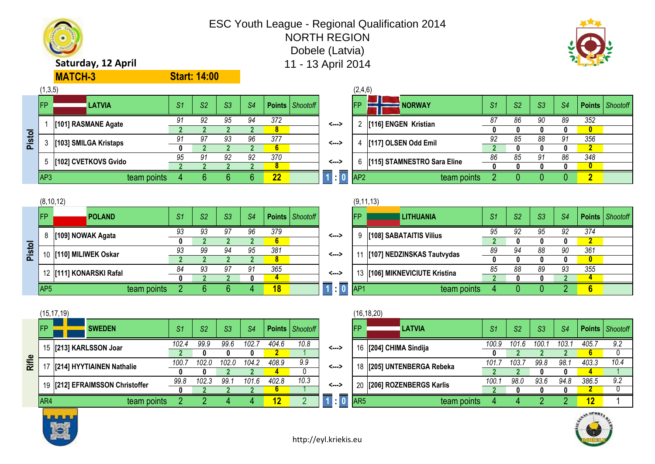



|           |     | (15, 17, 19)                    |       |       |                |                |            |                   |                 |                 | (16,18,20)                   |               |                |      |       |                        |      |
|-----------|-----|---------------------------------|-------|-------|----------------|----------------|------------|-------------------|-----------------|-----------------|------------------------------|---------------|----------------|------|-------|------------------------|------|
| <b>FP</b> |     | <b>SWEDEN</b>                   | S1    | S2    | S <sub>3</sub> | S <sub>4</sub> |            | Points   Shootoff |                 | <b>IFP</b>      | <b>LATVIA</b>                | $^{\circ}$ S1 | S <sub>2</sub> | S3   | S4    | <b>Points</b> Shootoff |      |
|           |     | 15 [213] KARLSSON Joar          | 102.4 | 99.9  | 99.6           | 102.           | 404.6      | 10.8              | <--->           |                 | 16 [204] CHIMA Sindija       | 100.9         | 101.6          | 100. | 103.1 | 405.7                  | 9.2  |
|           |     |                                 |       |       |                |                |            |                   |                 |                 |                              |               |                |      |       | 6                      |      |
|           |     | 17   [214] HYYTIAINEN Nathalie  | 100.7 | 102.0 | 102.0          | 104.2          | 408.9      | 9.9               | <--->           |                 | 18   [205] UNTENBERGA Rebeka | 101.7         | 103.           | 99.8 | 98.1  | 403.3                  | 10.4 |
|           |     |                                 |       |       |                |                |            | $\mathbf{0}$      |                 |                 |                              |               |                |      |       |                        |      |
|           |     | 19 [212] EFRAIMSSON Christoffer | 99.8  | 102.3 | 99.7           | 101.6          | 402.8      | 10.3              | <--->           |                 | 20 [206] ROZENBERGS Karlis   | 100.7         | 98.0           | 93.6 | 94.8  | 386.5                  | 9.2  |
|           |     |                                 |       |       |                |                | o          |                   |                 |                 |                              |               |                |      |       |                        |      |
|           | AR4 | team points                     |       |       |                |                | <u> 12</u> |                   | $\overline{10}$ | AR <sub>5</sub> | team points                  |               |                |      |       | <u> 12</u>             |      |
|           |     |                                 |       |       |                |                |            |                   |                 |                 |                              |               |                |      |       |                        |      |

|                 | (16, 18, 20)            |       |                |       |                |               |                 |
|-----------------|-------------------------|-------|----------------|-------|----------------|---------------|-----------------|
| <b>FP</b>       | <b>LATVIA</b>           | S1    | S <sub>2</sub> | S3    | S <sub>4</sub> | <b>Points</b> | <b>Shootoff</b> |
| 16              | [204] CHIMA Sindija     | 100.9 | 101.6          | 100.1 | 103.1          | 405.7         | 9.2             |
|                 |                         | 0     |                | 2     |                | 6             |                 |
| 18              | [205] UNTENBERGA Rebeka | 101.7 | 103.7          | 99.8  | 98.1           | 403.3         | 10.4            |
|                 |                         |       |                |       |                |               |                 |
| 20              | [206] ROZENBERGS Karlis | 100.1 | 98.0           | 93.6  | 94.8           | 386.5         | 9.2             |
|                 |                         |       |                |       |                |               |                 |
| AR <sub>5</sub> | team points             | 4     |                | ŋ     | ŋ              | 12            |                 |

|       |                 | 10 [110] MILIWEK Oskar    |             | ყა             | YY             | -94            | ັນ             | JO I  |                   | <--->                | 11              | [107] NEDZINSKAS Tautvydas      | oy             | -94            | oo.            | YU             | - JO 1         |
|-------|-----------------|---------------------------|-------------|----------------|----------------|----------------|----------------|-------|-------------------|----------------------|-----------------|---------------------------------|----------------|----------------|----------------|----------------|----------------|
| Ξã    |                 |                           |             |                |                |                |                | 8     |                   |                      |                 |                                 |                |                |                |                | $\mathbf{0}$   |
|       |                 | 12 [111] KONARSKI Rafal   |             | 84             | 93             | 97             | 91             | 365   |                   | <--->                |                 | 13  [106] MIKNEVICIUTE Kristina | 85             | 88             | 89             | 93             | 355            |
|       |                 |                           |             |                |                |                | 0              |       |                   |                      |                 |                                 |                |                |                |                |                |
|       | AP <sub>5</sub> |                           | team points |                |                |                |                | 18    |                   | $\overline{\bullet}$ | AP <sub>1</sub> | team points                     |                |                | 0.             |                | $6\phantom{1}$ |
|       |                 |                           |             |                |                |                |                |       |                   |                      |                 |                                 |                |                |                |                |                |
|       |                 | (15, 17, 19)              |             |                |                |                |                |       |                   |                      |                 | (16, 18, 20)                    |                |                |                |                |                |
|       |                 |                           |             |                |                |                |                |       |                   |                      |                 |                                 |                |                |                |                |                |
|       | IFP             | <b>SWEDEN</b>             |             | S <sub>1</sub> | S <sub>2</sub> | S <sub>3</sub> | S <sub>4</sub> |       | Points   Shootoff |                      | <b>IFP</b>      | <b>LATVIA</b>                   | S <sub>1</sub> | S <sub>2</sub> | S <sub>3</sub> | S <sub>4</sub> | Poin           |
|       |                 |                           |             |                |                |                |                |       |                   |                      |                 |                                 |                |                |                |                |                |
|       |                 | 15 [213] KARLSSON Joar    |             | 102.4          | 99.9           | 99.6           | 102.7          | 404.6 | 10.8              | <>                   |                 | 16   [204] CHIMA Sindija        | 100.9          | 101.6          | 100.1          | 103.1          | 405.           |
|       |                 |                           |             |                |                |                | 0              |       |                   |                      |                 |                                 |                |                |                |                | 6 <sup>1</sup> |
| Rifle |                 | [214] HYYTIAINEN Nathalie |             | 100.7          | 102.0          | 102.0          | 104.2          | 408.9 | 9.9               | <--->                |                 | 18   [205] UNTENBERGA Rebeka    | 101.7          | 103.7          | 99.8           | 98.1           | 403.           |
|       |                 |                           |             | Û              | n              |                |                |       | $\cap$            |                      |                 |                                 | ി              |                |                | n.             |                |

|        |                 | (8, 10, 12)       |                         |                |                |    |    |     |                        |       |                 | (9, 11, 13) |                            |
|--------|-----------------|-------------------|-------------------------|----------------|----------------|----|----|-----|------------------------|-------|-----------------|-------------|----------------------------|
|        | <b>FP</b>       |                   | <b>POLAND</b>           | S <sub>1</sub> | S <sub>2</sub> | S3 | S4 |     | <b>Points</b> Shootoff |       | <b>IFP</b>      |             | <b>LITHUANIA</b>           |
|        | 8               | [109] NOWAK Agata |                         | 93             | 93             | 97 | 96 | 379 |                        | <---> | 9               |             | [108] SABATAITIS Vilius    |
| Pistol |                 |                   | 10 [110] MILIWEK Oskar  | 93             | 99             | 94 | 95 | 381 |                        | <---> |                 |             | 11 [107] NEDZINSKAS Taut   |
|        |                 |                   | 12 [111] KONARSKI Rafal | 84             | 93             | 97 | 91 | 365 |                        | <---> |                 |             | 13  [106] MIKNEVICIUTE Kri |
|        | AP <sub>5</sub> |                   | team points             |                |                |    |    | 18  |                        |       | AP <sub>1</sub> |             |                            |

| (8, 10, 12) |                         |    |                |                |    |     |                          |       |    | (9, 11, 13)                    |                |                |    |                |     |                   |
|-------------|-------------------------|----|----------------|----------------|----|-----|--------------------------|-------|----|--------------------------------|----------------|----------------|----|----------------|-----|-------------------|
| FP.         | <b>POLAND</b>           | S1 | S <sub>2</sub> | S <sub>3</sub> | S4 |     | <b>Points</b>   Shootoff |       | FP | <b>LITHUANIA</b>               | S <sub>1</sub> | S <sub>2</sub> | S3 | S <sub>4</sub> |     | Points   Shootoff |
|             | 8 [109] NOWAK Agata     | 93 | 93             | 97             | 96 | 379 |                          | <>    |    | [108] SABATAITIS Vilius        | 95             | 92             | 95 | 92             | 374 |                   |
|             |                         |    |                |                |    | 6   |                          |       |    |                                |                |                |    |                | z   |                   |
|             | 10 [110] MILIWEK Oskar  | 93 | 99             | 94             | 95 | 381 |                          | <>    |    | [107] NEDZINSKAS Tautvydas     | 89             | 94             | 88 | 90             | 361 |                   |
|             |                         |    |                |                |    |     |                          |       |    |                                |                |                |    |                |     |                   |
|             |                         | 84 | 93             | 97             | 91 | 365 |                          | <---> |    |                                | 85             | 88             | 89 | 93             | 355 |                   |
|             | 12 [111] KONARSKI Rafal |    |                |                |    |     |                          |       |    | 13 [106] MIKNEVICIUTE Kristina |                |                |    |                |     |                   |

|      |                 | -------               |    |    |    |    |     |                                  | ---------                     |    |    |    |    |    |
|------|-----------------|-----------------------|----|----|----|----|-----|----------------------------------|-------------------------------|----|----|----|----|----|
|      |                 | [101] RASMANE Agate   |    | 92 | 95 | 94 | 372 | <--->                            | [116] ENGEN Kristian          |    | 86 | 90 | 89 | 35 |
| ਠ    |                 |                       |    |    |    |    |     |                                  |                               |    |    |    |    |    |
| Pist |                 | [103] SMILGA Kristaps |    | 97 | 93 | 96 | 377 | <--->                            | [117] OLSEN Odd Emil          |    | 85 | 88 | 91 | 35 |
|      |                 |                       |    |    |    |    |     |                                  |                               |    |    |    |    |    |
|      |                 | [102] CVETKOVS Gvido  | 95 | 91 | 92 | 92 | 370 | <--->                            | 6 [115] STAMNESTRO Sara Eline | 86 | 85 | 91 | 86 | 34 |
|      |                 |                       |    |    |    |    | o   |                                  |                               |    |    |    |    |    |
|      | AP <sub>3</sub> | team points           |    |    |    |    | 22  | $\overline{\phantom{a}}$ : 0 AP2 | team points                   |    |    |    |    |    |
|      |                 |                       |    |    |    |    |     |                                  |                               |    |    |    |    |    |
|      |                 |                       |    |    |    |    |     |                                  |                               |    |    |    |    |    |

**Start: 14:00**

| (1,3,5) |                         |                |                |                |    |     |                          |                  | (2,4,6)         |                                 |                |                |                |    |     |                   |
|---------|-------------------------|----------------|----------------|----------------|----|-----|--------------------------|------------------|-----------------|---------------------------------|----------------|----------------|----------------|----|-----|-------------------|
| FP.     | LATVIA                  | S <sub>1</sub> | S <sub>2</sub> | S <sub>3</sub> | S4 |     | <b>Points</b>   Shootoff |                  | IFP             | <b>NORWAY</b>                   | S <sub>1</sub> | S <sub>2</sub> | S <sub>3</sub> | S4 |     | Points   Shootoff |
|         | [101] RASMANE Agate     |                | 92             | 95             | 94 | 372 |                          | <>               |                 | [116] ENGEN Kristian            |                | 86             | 90             | 89 | 352 |                   |
|         |                         |                |                |                |    |     |                          |                  |                 |                                 |                |                |                |    | 0   |                   |
|         | 3 [103] SMILGA Kristaps |                | 97             | 93             | 96 | 377 |                          | <--->            |                 | [117] OLSEN Odd Emil            |                | 85             | 88             | 91 | 356 |                   |
|         |                         |                |                |                |    | ъ.  |                          |                  |                 |                                 |                |                |                | O  | z   |                   |
|         | 5 [[102] CVETKOVS Gvido | 95             | 91             | 92             | 92 | 370 |                          | <--->            |                 | 6   [115] STAMNESTRO Sara Eline | 86             | 85             |                | 86 | 348 |                   |
|         |                         |                |                |                |    |     |                          |                  |                 |                                 |                |                |                |    |     |                   |
| AP3     | team points             |                |                |                |    | 22  |                          | $\blacksquare$ 0 | AP <sub>2</sub> | team points                     |                |                |                |    |     |                   |

### **Saturday, 12 April 11 - 13 April 2014 MATCH-3**



### ESC Youth League - Regional Qualification 2014 NORTH REGION Dobele (Latvia)

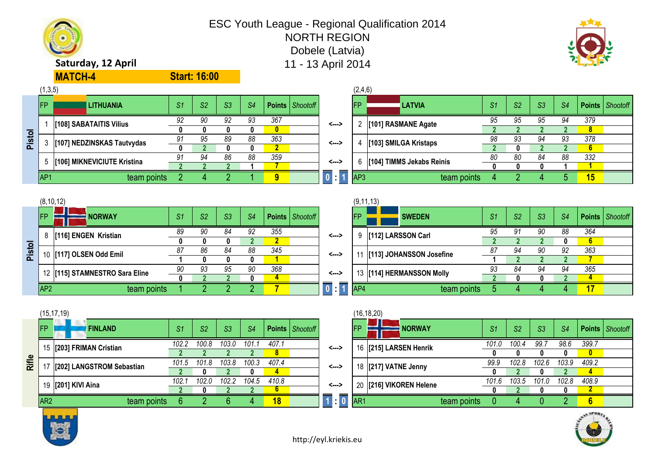



|                   |                 | (15, 17, 19)              |       |                |       |                |       |                          |                |                 | (16, 18, 20)            |             |                |       |                |              |                   |                        |
|-------------------|-----------------|---------------------------|-------|----------------|-------|----------------|-------|--------------------------|----------------|-----------------|-------------------------|-------------|----------------|-------|----------------|--------------|-------------------|------------------------|
|                   | IFP             | <b>FINLAND</b>            | -S1   | S <sub>2</sub> | S3    | S <sub>4</sub> |       | <b>Points</b>   Shootoff |                | <b>IFP</b>      | <b>NORWAY</b>           |             | S <sub>1</sub> | S2    | S <sub>3</sub> | S4           |                   | <b>Points</b> Shootofi |
|                   |                 | 15 [203] FRIMAN Cristian  | 102.2 | 100.8          | 103.0 | 101            | 407.7 |                          | <>             |                 | 16 [215] LARSEN Henrik  |             | 101.0          | 100.4 | 99.7           | 98.6         | 399.7             |                        |
| $\mathbf{\Omega}$ |                 |                           |       |                |       |                |       |                          |                |                 |                         |             |                |       |                |              | 0                 |                        |
| ≋                 |                 | [202] LANGSTROM Sebastian | 101.5 | 101.8          | 103.8 | 100.3          | 407.4 |                          | <--->          |                 | 18 [217] VATNE Jenny    |             | 99.9           | 102.8 | 102.6          | 103.9        | 409.2             |                        |
|                   |                 |                           |       |                |       |                |       |                          |                |                 |                         |             |                |       |                |              |                   |                        |
|                   |                 | 19 [201] KIVI Aina        | 102.  | 102.0          | ے.102 | 104.5          | 410.8 |                          | <--->          |                 | 20 [216] VIKOREN Helene |             | 101.6          | 103.5 | 101.0          | 102.8        | 408.9             |                        |
|                   |                 |                           |       |                |       |                |       |                          |                |                 |                         |             |                |       |                | $\mathbf{u}$ |                   |                        |
|                   | AR <sub>2</sub> | team points               |       |                |       |                | 18    |                          | $\blacksquare$ | AR <sub>1</sub> |                         | team points |                |       |                |              | $6\phantom{1}6$   |                        |
|                   |                 |                           |       |                |       |                |       |                          |                |                 |                         |             |                |       |                |              | and the state and |                        |

|                 | (16, 18, 20)         |             |       |       |       |       |        |                 |
|-----------------|----------------------|-------------|-------|-------|-------|-------|--------|-----------------|
| <b>FP</b>       | <b>NORWAY</b>        |             | S1    | S2    | S3    | S4    | Points | <b>Shootoff</b> |
| 16              | [215] LARSEN Henrik  |             | 101.0 | 100.4 | 99.7  | 98.6  | 399.7  |                 |
|                 |                      |             |       | 0     |       |       |        |                 |
| 18              | [217] VATNE Jenny    |             | 99.9  | 102.8 | 102.6 | 103.9 | 409.2  |                 |
|                 |                      |             | 0     | כי    |       |       |        |                 |
| 20              | [216] VIKOREN Helene |             | 101.6 | 103.5 | 101.0 | 102.8 | 408.9  |                 |
|                 |                      |             |       |       |       |       |        |                 |
| AR <sub>1</sub> |                      | team points |       |       |       |       | 6      |                 |



|                | (8, 10, 12)     |                                |     |    |                |     |     |                   |             | (9, 11, 13) |                             |     |    |                |    |        |          |
|----------------|-----------------|--------------------------------|-----|----|----------------|-----|-----|-------------------|-------------|-------------|-----------------------------|-----|----|----------------|----|--------|----------|
|                | <b>IFP</b>      | <b>NORWAY</b>                  | -S1 | S2 | S <sub>3</sub> | -S4 |     | Points   Shootoff |             | <b>IFP</b>  | <b>SWEDEN</b>               | -S1 | S2 | S <sub>3</sub> | S4 | Points | Shootofi |
|                | 8               | [116] ENGEN Kristian           |     | 90 | 84             | 92  | 355 |                   | <--->       | 9           | [112] LARSSON Carl          | 95  |    | 90             | 88 | 364    |          |
| ठ              |                 |                                |     |    |                |     |     |                   |             |             |                             |     |    |                |    |        |          |
| -<br><u> ត</u> |                 | 10 [[117] OLSEN Odd Emil       |     | 86 | 84             | 88  | 345 |                   | <>          |             | [113] JOHANSSON Josefine    | 87  | 94 | 90             | 92 | 363    |          |
|                |                 |                                |     |    |                |     |     |                   |             |             |                             |     |    |                |    |        |          |
|                |                 | 12 [115] STAMNESTRO Sara Eline | 90  | 93 | 95             | 90  | 368 |                   | <>          |             | 13   [114] HERMANSSON Molly | 93  | 84 | 94             | 94 | 365    |          |
|                |                 |                                |     |    |                |     |     |                   |             |             |                             |     |    |                |    |        |          |
|                | AP <sub>2</sub> | team points                    |     |    |                |     |     |                   | <b>1999</b> | <b>AP4</b>  | team points                 |     |    |                |    | 17     |          |

|        |                                  | [108] SABATAITIS Vilius    | 92 | 90 | 92 | 93 | 367 | <--->          |     | [101] RASMANE Agate       | 95 | 95 | 95 |    | 379 |
|--------|----------------------------------|----------------------------|----|----|----|----|-----|----------------|-----|---------------------------|----|----|----|----|-----|
|        |                                  |                            |    |    |    |    | 0   |                |     |                           |    |    |    |    |     |
| Pistol |                                  | [107] NEDZINSKAS Tautvydas |    | 95 | 89 | 88 | 363 | <--->          |     | [103] SMILGA Kristaps     | 98 | 93 | 94 | ບປ | 376 |
|        | [106] MIKNEVICIUTE Kristina<br>C |                            |    |    |    |    |     |                |     |                           |    |    |    |    |     |
|        |                                  |                            |    | 94 | 86 | 88 | 359 | <--->          |     | [104] TIMMS Jekabs Reinis | 80 | 80 | 84 | 88 | 332 |
|        |                                  |                            |    |    |    |    |     |                |     |                           |    |    |    |    |     |
|        | AP <sub>1</sub>                  | team points                |    |    |    |    |     | $\blacksquare$ | AP3 | team points               |    |    |    |    |     |
|        |                                  |                            |    |    |    |    |     |                |     |                           |    |    |    |    |     |
|        |                                  |                            |    |    |    |    |     |                |     |                           |    |    |    |    |     |

| (∪,ט, י |                               |                |                |                |                |     |                   |       | ,∠,⊤,∪     |                           |                |                |    |                |                |                   |
|---------|-------------------------------|----------------|----------------|----------------|----------------|-----|-------------------|-------|------------|---------------------------|----------------|----------------|----|----------------|----------------|-------------------|
| FP l    | <b>LITHUANIA</b>              | S <sub>1</sub> | S <sub>2</sub> | S <sub>3</sub> | S <sub>4</sub> |     | Points   Shootoff |       | <b>IFP</b> | , LATVIA                  | S <sub>1</sub> | S <sub>2</sub> | S3 | S <sub>4</sub> |                | Points   Shootoff |
|         | [108] SABATAITIS Vilius       | 92             | 90             | 92             | 93             | 367 |                   | <>    |            | [101] RASMANE Agate       |                | 95             | 95 | 94             | 379            |                   |
|         |                               |                |                |                |                |     |                   |       |            |                           |                |                |    |                | 8              |                   |
|         | 3 [107] NEDZINSKAS Tautvydas  |                | 95             | 89             | 88             | 363 |                   | <---> |            | [103] SMILGA Kristaps     |                | 93             | 94 | 93             | 378            |                   |
|         |                               |                |                |                |                |     |                   |       |            |                           |                |                |    |                | 6 <sup>1</sup> |                   |
|         | 5 [106] MIKNEVICIUTE Kristina |                | 94             | 86             | 88             | 359 |                   | <>    | 6          | [104] TIMMS Jekabs Reinis |                | 80             | 84 | 88             | 332            |                   |
|         |                               |                |                |                |                |     |                   |       |            |                           |                |                |    |                |                |                   |
| AP1     | team points                   |                |                |                |                | 9   |                   | . .   | AP3        | team points               |                |                |    |                | 15             |                   |
|         |                               |                |                |                |                |     |                   |       |            |                           |                |                |    |                |                |                   |

### **Saturday, 12 April 11 - 13 April 2014 MATCH-4**

## **Start: 16:00**



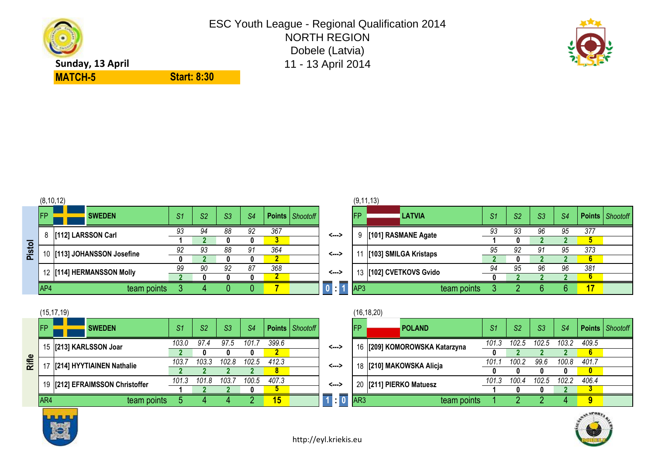



|       |            | (15, 17, 19)                    |       |                |       |       |            |                   |                      |                 | (16, 18, 20)                  |       |       |                |       |        |          |
|-------|------------|---------------------------------|-------|----------------|-------|-------|------------|-------------------|----------------------|-----------------|-------------------------------|-------|-------|----------------|-------|--------|----------|
|       | <b>IFP</b> | <b>SWEDEN</b>                   | S1    | S <sub>2</sub> | S3    | S4    |            | Points   Shootoff |                      | <b>IFP</b>      | <b>POLAND</b>                 | S1    | S2    | S <sub>3</sub> | S4    | Points | Shootofi |
|       |            | 15 [213] KARLSSON Joar          | 103.0 | 97.4           |       | 101.  | 399.6      |                   | <--->                |                 | 16 [209] KOMOROWSKA Katarzyna | 101.3 | 102.5 | 102.5          | 103.2 | 409.5  |          |
|       |            |                                 |       |                |       |       |            |                   |                      |                 |                               | 0     |       |                |       | 6      |          |
| Rifle |            | [214] HYYTIAINEN Nathalie       | 103.  | 103.3          | 102.8 | 102.5 | 412.3      |                   | <>                   |                 | 18  [210] MAKOWSKA Alicja     | 101.  | 100.2 | 99.6           | 100.8 | 401.7  |          |
|       |            |                                 |       |                |       |       |            |                   |                      |                 |                               |       |       |                |       |        |          |
|       |            | 19 [212] EFRAIMSSON Christoffer | 101.3 | 101.8          | 103.  | 100.5 | 407.3      |                   | <>                   |                 | 20 [211] PIERKO Matuesz       | 101.3 | 100.4 | 102.5          | 102.2 | 406.4  |          |
|       |            |                                 |       |                |       |       |            |                   |                      |                 |                               |       |       |                |       |        |          |
|       | AR4        | team points                     |       |                |       |       | <u> 15</u> |                   | $\overline{\bullet}$ | AR <sub>3</sub> | team points                   |       |       |                |       | 9      |          |
|       |            |                                 |       |                |       |       |            |                   |                      |                 |                               |       |       |                |       |        |          |

|       |       |       |       |                |                          |       |                 | (16, 18, 20) |                               |                |                |       |       |              |                        |
|-------|-------|-------|-------|----------------|--------------------------|-------|-----------------|--------------|-------------------------------|----------------|----------------|-------|-------|--------------|------------------------|
| -S1   | S2    | S3    | S4    |                | <b>Points</b>   Shootoff |       | <b>IFP</b>      |              | <b>POLAND</b>                 | S <sub>1</sub> | S <sub>2</sub> | S3    | S4    |              | <b>Points</b> Shootoff |
| 103.0 | 97.4  | 97.5  | 101.7 | 399.6          |                          | <---> |                 |              | 16 [209] KOMOROWSKA Katarzyna | 101.3          | 102.5          | 102.5 | 103.2 | 409.5        |                        |
|       |       |       |       |                |                          |       |                 |              |                               |                |                |       |       | 6.           |                        |
| 103.7 | 103.3 | 102.8 | 102.5 | 412.3          |                          | <---> |                 |              | 18 [210] MAKOWSKA Alicja      | 101.1          | 100.2          | 99.6  | 100.8 | 401.7        |                        |
|       |       |       |       | 8.             |                          |       |                 |              |                               |                |                |       |       | $\mathbf{0}$ |                        |
| 101.3 | 101.8 | 103.7 | 100.5 | 407.3          |                          | <---> | 20              |              | [211] PIERKO Matuesz          | 101.3          | 100.4          | 102.5 | 102.2 | 406.4        |                        |
|       |       |       |       | $\mathfrak{p}$ |                          |       |                 |              |                               |                |                |       |       | 3            |                        |
|       |       |       |       | 15             |                          | Н     | AR <sub>3</sub> |              | team points                   |                |                |       | 4     | 9            |                        |



| <b>FP</b> | (15, 17, 19) | <b>SWEDEN</b>                | S <sub>1</sub> | S <sub>2</sub> | S3    | S <sub>4</sub> | <b>Points</b> | Shootoff |
|-----------|--------------|------------------------------|----------------|----------------|-------|----------------|---------------|----------|
|           |              | 15 [213] KARLSSON Joar       | 103.0          | 97.4           | 97.5  | 101.7          | 399.6         |          |
| 17        |              | [214] HYYTIAINEN Nathalie    | 103.7          | 103.3          | 102.8 | 102.5          | 412.3         |          |
| 19        |              | [212] EFRAIMSSON Christoffer | 101.3          | 101.8          | 103.7 | 100.5          | 407.3         |          |

**Start: 8:30**

|    | (8, 10, 12) |                    |                |                |                |                |     |                   |    | (9, 11, 13) |                  |
|----|-------------|--------------------|----------------|----------------|----------------|----------------|-----|-------------------|----|-------------|------------------|
| FP |             | <b>SWEDEN</b>      | S <sub>1</sub> | S <sub>2</sub> | S <sub>3</sub> | S <sub>4</sub> |     | Points   Shootoff |    | <b>IFP</b>  |                  |
| 8  |             | [112] LARSSON Carl | 93             | 94             | 88             | 92             | 367 |                   | <> | 9           | [10 <sup>.</sup> |

|     | (8, 10, 12) |                             |                |                |                |                |     |                          |                                                  |                    | (9, 11, 13)               |    |                |                |                |     |                   |
|-----|-------------|-----------------------------|----------------|----------------|----------------|----------------|-----|--------------------------|--------------------------------------------------|--------------------|---------------------------|----|----------------|----------------|----------------|-----|-------------------|
| FP. |             | <b>SWEDEN</b>               | S <sub>1</sub> | S <sub>2</sub> | S <sub>3</sub> | S <sub>4</sub> |     | <b>Points</b>   Shootoff |                                                  | <b>FP</b>          | <b>LATVIA</b>             | S1 | S <sub>2</sub> | S <sub>3</sub> | S <sub>4</sub> |     | Points   Shootoff |
|     |             | 8 [112] LARSSON Carl        | 93             | 94             | 88             | 92             | 367 |                          | <--->                                            |                    | [101] RASMANE Agate       | 93 | 93             | 96             | 95             | 377 |                   |
|     |             |                             |                |                |                | 0              |     |                          |                                                  |                    |                           |    |                |                |                |     |                   |
|     |             |                             | 92             | 93             | 88             | 91             | 364 |                          | <--->                                            |                    | [103] SMILGA Kristaps     | 95 | 92             | 91             | 95             | 373 |                   |
|     |             | 10 [113] JOHANSSON Josefine |                |                |                | 0              |     |                          |                                                  |                    |                           |    |                |                |                | 6   |                   |
|     |             | 12 [114] HERMANSSON Molly   | 99             | 90             | 92             | 87             | 368 |                          | <>                                               |                    | 13   [102] CVETKOVS Gvido | OЛ | 95             | 96             | 96             | 381 |                   |
|     |             |                             |                |                |                |                |     |                          |                                                  |                    |                           |    |                |                |                | 6   |                   |
| AP4 |             | team points                 |                |                |                |                |     |                          | $\begin{smallmatrix} 0 \\ 1 \end{smallmatrix}$ 1 | $\blacksquare$ AP3 | team points               |    |                |                |                | 17  |                   |

**Pistol**

**MATCH-5**

ESC Youth League - Regional Qualification 2014 NORTH REGION Dobele (Latvia) **Sunday, 13 April** 11 - 13 April 2014

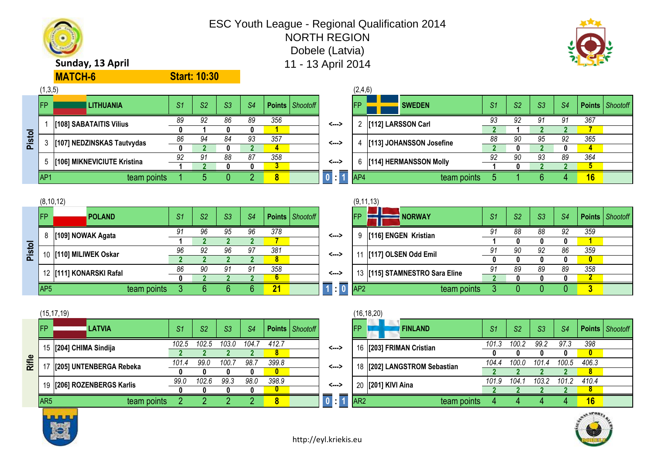



|       |                 | (15, 17, 19)            |       |       |                |                |          |                        |            |                 | (16, 18, 20)                 |                |       |                |       |                   |  |
|-------|-----------------|-------------------------|-------|-------|----------------|----------------|----------|------------------------|------------|-----------------|------------------------------|----------------|-------|----------------|-------|-------------------|--|
|       | <b>IFP</b>      | <b>LATVIA</b>           | S1    | S2    | S <sub>3</sub> | S <sub>4</sub> |          | <b>Points</b> Shootoff |            | <b>IFP</b>      | <b>FINLAND</b>               | S <sub>1</sub> | S2    | S <sub>3</sub> | S4    | Points   Shootofi |  |
|       | 15              | [204] CHIMA Sindija     | 102.5 | 102.5 | 103.0          | 104.7          | 412.7    |                        | <--->      |                 | 16 [203] FRIMAN Cristian     | 101.3          | 100.2 | 99.2           | 97.3  | 398               |  |
|       |                 |                         |       |       |                |                | 8        |                        |            |                 |                              |                |       |                |       | 0                 |  |
| Rifle |                 | [205] UNTENBERGA Rebeka | 101.4 | 99.0  | 100.           | 98.7           | 399.8    |                        | <--->      |                 | 18 [202] LANGSTROM Sebastian | 104.4          | 100.0 | 101.4          | 100.5 | 406.3             |  |
|       |                 |                         |       |       |                |                | $\bf{0}$ |                        |            |                 |                              |                |       |                |       | 8                 |  |
|       | 19              | [206] ROZENBERGS Karlis | 99.0  | 102.6 | 99.3           | 98.0           | 398.9    |                        | <--->      |                 | 20 [201] KIVI Aina           | 101.9          | 104.  | 103.2          | 101.2 | 410.4             |  |
|       |                 |                         |       |       |                |                | υ        |                        |            |                 |                              |                |       |                |       | ۰                 |  |
|       | AR <sub>5</sub> | team points             |       |       |                |                | 8        |                        | $\sqrt{1}$ | AR <sub>2</sub> | team points                  |                |       |                |       | 16                |  |
|       |                 |                         |       |       |                |                |          |                        |            |                 |                              |                |       |                |       |                   |  |

|                 | (16, 18, 20)              |       |                |       |       |               |          |
|-----------------|---------------------------|-------|----------------|-------|-------|---------------|----------|
| FP              | <b>FINLAND</b>            | S1    | S <sub>2</sub> | S3    | S4    | <b>Points</b> | Shootoff |
| 16              | [203] FRIMAN Cristian     | 101.3 | 100.2          | 99.2  | 97.3  | 398           |          |
|                 |                           | 0     |                |       |       |               |          |
| 18              | [202] LANGSTROM Sebastian | 104.4 | 100.0          | 101.4 | 100.5 | 406.3         |          |
|                 |                           | ч     |                |       |       |               |          |
| 20              | [201] KIVI Aina           | 101.9 | 104.1          | 103.2 | 101.2 | 410.4         |          |
|                 |                           |       |                |       |       |               |          |
| AR <sub>2</sub> | team points               |       |                |       |       | 16            |          |

| 8               | [109] NOWAK Agata        |             | 91             | 96            | 95             | 96            | 378 |                     | <--->           | 9               | [116] ENGEN Kristian       |             | 91            | 88            | 88             | 92            | 359          |
|-----------------|--------------------------|-------------|----------------|---------------|----------------|---------------|-----|---------------------|-----------------|-----------------|----------------------------|-------------|---------------|---------------|----------------|---------------|--------------|
|                 |                          |             |                |               |                |               |     |                     |                 |                 |                            |             |               |               |                |               |              |
|                 | 10   [110] MILIWEK Oskar |             | 96             | 92            | 96             | 97            | 381 |                     | <--->           |                 | 11   [117] OLSEN Odd Emil  |             | 91            | 90            | 92             | 86            | 359          |
|                 |                          |             |                |               |                |               | 8   |                     |                 |                 |                            |             |               |               |                |               | $\mathbf{0}$ |
|                 | 12 [111] KONARSKI Rafal  |             | 86             | 90            | 91             | 91            | 358 |                     | <--->           | 13              | 115] STAMNESTRO Sara Eline |             | 91            | 89            | 89             | 89            | 358          |
|                 |                          |             |                |               |                |               | b   |                     |                 |                 |                            |             |               |               |                |               |              |
| AP <sub>5</sub> |                          | team points |                |               |                |               | 21  |                     | $\overline{10}$ | AP <sub>2</sub> |                            | team points |               |               |                |               |              |
|                 |                          |             |                |               |                |               |     |                     |                 |                 |                            |             |               |               |                |               |              |
|                 | (15, 17, 19)             |             |                |               |                |               |     |                     |                 |                 | (16, 18, 20)               |             |               |               |                |               |              |
| <b>IFP</b>      | <b>ILATVIA</b>           |             | $\mathbb{C}^4$ | $\mathcal{L}$ | C <sub>2</sub> | $\mathcal{A}$ |     | $Pointe  $ Shootoff |                 | IFP.            | <b>FINI AND</b>            |             | $\mathbb{C}1$ | $\mathcal{L}$ | C <sub>2</sub> | $\mathcal{A}$ | <b>Poin</b>  |

|        | AP <sub>1</sub> |                     | team points |                |                |                |        | 8    |                   |       | AP4        |                      | team points |        |        |        |        | 16                   |          |
|--------|-----------------|---------------------|-------------|----------------|----------------|----------------|--------|------|-------------------|-------|------------|----------------------|-------------|--------|--------|--------|--------|----------------------|----------|
|        |                 |                     |             |                |                |                |        |      |                   |       |            |                      |             |        |        |        |        |                      |          |
|        |                 | (8, 10, 12)         |             |                |                |                |        |      |                   |       |            | (9, 11, 13)          |             |        |        |        |        |                      |          |
|        | <b>FP</b>       | <b>POLAND</b>       |             | S <sub>1</sub> | S <sub>2</sub> | S <sub>3</sub> | S4     |      | Points   Shootoff |       | <b>IFP</b> | <b>NORWAY</b>        |             | S1     | S2     | S3     | S4     | Points               | Shootofi |
|        | 8               | [109] NOWAK Agata   |             | 01             | 96             | 95             | 96     | 378  |                   | <---> | 9          | [116] ENGEN Kristian |             | ۵1     | 88     | 88     | 92     | 359                  |          |
|        |                 |                     |             |                |                |                |        |      |                   |       |            |                      |             |        | o      |        |        |                      |          |
| Pistol | 10              | [110] MILIWEK Oskar |             | 96             | 92             | 96             | 97     | 381  |                   | <---> | 11         | [117] OLSEN Odd Emil |             | 91     | 90     | 92     | 86     | 359                  |          |
|        |                 |                     |             |                |                |                |        | 8    |                   |       |            |                      |             |        |        |        |        | $\bf{0}$             |          |
|        |                 |                     |             | $\sim$         | $\sim$         | $\sim$         | $\sim$ | 0.50 |                   |       |            |                      |             | $\sim$ | $\sim$ | $\sim$ | $\sim$ | $\sim$ $\sim$ $\sim$ |          |

| (9,11,13) |
|-----------|
|           |

ESC Youth League - Regional Qualification 2014 NORTH REGION Dobele (Latvia)

|        | (1,3,5)    |                             |    |                |    |                |     |                          |                                  | (2,4,6)                |                          |                |                |    |    |                   |  |
|--------|------------|-----------------------------|----|----------------|----|----------------|-----|--------------------------|----------------------------------|------------------------|--------------------------|----------------|----------------|----|----|-------------------|--|
|        | <b>IFP</b> | <b>LITHUANIA</b>            | S1 | S <sub>2</sub> | S3 | S <sub>4</sub> |     | <b>Points</b>   Shootoff |                                  | <b>IFP</b>             | <b>SWEDEN</b>            | S <sub>1</sub> | S <sub>2</sub> | S3 | S4 | Points   Shootofi |  |
|        |            |                             | 89 | 92             | 86 | 89             | 356 |                          | <>                               |                        | [112] LARSSON Carl       | 93             | 02             | 91 | 91 | 367               |  |
|        |            | [108] SABATAITIS Vilius     |    |                |    | O              |     |                          |                                  |                        |                          |                |                |    |    |                   |  |
| Pistol |            | [107] NEDZINSKAS Tautvydas  | 86 | 94             | 84 | 93             | 357 |                          | <--->                            |                        | [113] JOHANSSON Josefine | 88             | 90             | 95 | 92 | 365               |  |
|        |            |                             |    |                |    |                | д   |                          |                                  |                        |                          |                |                |    |    |                   |  |
|        |            | [106] MIKNEVICIUTE Kristina | 92 | Q1             | 88 | 87             | 358 |                          | <>                               | [114] HERMANSSON Molly |                          | 92             | 90             | 93 | 89 | 364               |  |
|        |            |                             |    |                |    |                |     |                          |                                  | b                      |                          |                |                |    |    |                   |  |
|        | IAP1       | team points                 |    |                |    |                | 8   |                          | $\Lambda$ , $\overline{\Lambda}$ | AP4                    | team points              |                |                |    |    | 16                |  |

|     | (2,4,6)   |                          |    |                |    |    |               |          |
|-----|-----------|--------------------------|----|----------------|----|----|---------------|----------|
|     | <b>FP</b> | <b>SWEDEN</b>            | S1 | S <sub>2</sub> | S3 | S4 | <b>Points</b> | Shootoff |
| --> |           | [112] LARSSON Carl       | 93 | 92             | 91 | 91 | 367           |          |
|     |           |                          |    |                |    |    |               |          |
| --> | 4         | [113] JOHANSSON Josefine | 88 | 90             | 95 | 92 | 365           |          |
|     |           |                          |    |                | 2  |    |               |          |
| --> | 6         | [114] HERMANSSON Molly   | 92 | 90             | 93 | 89 | 364           |          |
|     |           |                          |    |                |    |    | 5             |          |
| : 1 | AP4       | team points              | 5  |                | 6  |    | 16            |          |

### **Sunday, 13 April 11 - 13 April 2014**

**MATCH-6**

**Start: 10:30**